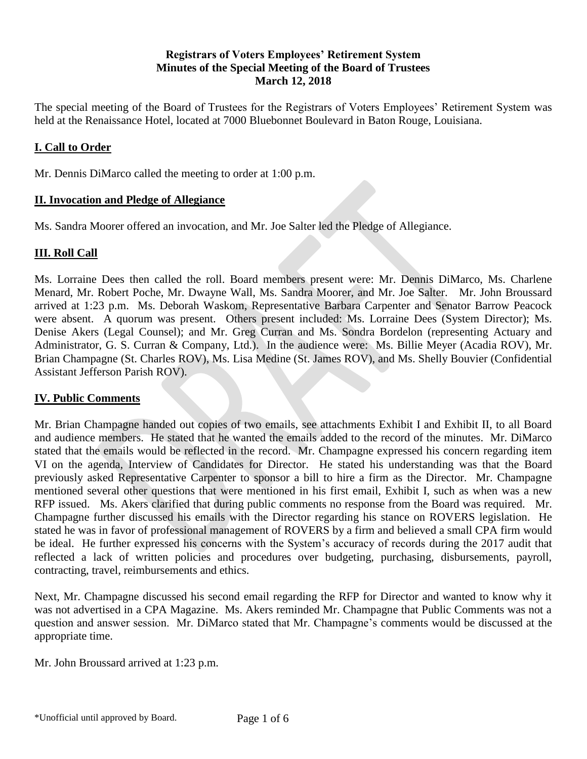# **Registrars of Voters Employees' Retirement System Minutes of the Special Meeting of the Board of Trustees March 12, 2018**

The special meeting of the Board of Trustees for the Registrars of Voters Employees' Retirement System was held at the Renaissance Hotel, located at 7000 Bluebonnet Boulevard in Baton Rouge, Louisiana.

# **I. Call to Order**

Mr. Dennis DiMarco called the meeting to order at 1:00 p.m.

## **II. Invocation and Pledge of Allegiance**

Ms. Sandra Moorer offered an invocation, and Mr. Joe Salter led the Pledge of Allegiance.

# **III. Roll Call**

Ms. Lorraine Dees then called the roll. Board members present were: Mr. Dennis DiMarco, Ms. Charlene Menard, Mr. Robert Poche, Mr. Dwayne Wall, Ms. Sandra Moorer, and Mr. Joe Salter. Mr. John Broussard arrived at 1:23 p.m. Ms. Deborah Waskom, Representative Barbara Carpenter and Senator Barrow Peacock were absent. A quorum was present. Others present included: Ms. Lorraine Dees (System Director); Ms. Denise Akers (Legal Counsel); and Mr. Greg Curran and Ms. Sondra Bordelon (representing Actuary and Administrator, G. S. Curran & Company, Ltd.). In the audience were: Ms. Billie Meyer (Acadia ROV), Mr. Brian Champagne (St. Charles ROV), Ms. Lisa Medine (St. James ROV), and Ms. Shelly Bouvier (Confidential Assistant Jefferson Parish ROV).

# **IV. Public Comments**

Mr. Brian Champagne handed out copies of two emails, see attachments Exhibit I and Exhibit II, to all Board and audience members. He stated that he wanted the emails added to the record of the minutes. Mr. DiMarco stated that the emails would be reflected in the record. Mr. Champagne expressed his concern regarding item VI on the agenda, Interview of Candidates for Director. He stated his understanding was that the Board previously asked Representative Carpenter to sponsor a bill to hire a firm as the Director. Mr. Champagne mentioned several other questions that were mentioned in his first email, Exhibit I, such as when was a new RFP issued. Ms. Akers clarified that during public comments no response from the Board was required. Mr. Champagne further discussed his emails with the Director regarding his stance on ROVERS legislation. He stated he was in favor of professional management of ROVERS by a firm and believed a small CPA firm would be ideal. He further expressed his concerns with the System's accuracy of records during the 2017 audit that reflected a lack of written policies and procedures over budgeting, purchasing, disbursements, payroll, contracting, travel, reimbursements and ethics.

Next, Mr. Champagne discussed his second email regarding the RFP for Director and wanted to know why it was not advertised in a CPA Magazine. Ms. Akers reminded Mr. Champagne that Public Comments was not a question and answer session. Mr. DiMarco stated that Mr. Champagne's comments would be discussed at the appropriate time.

Mr. John Broussard arrived at 1:23 p.m.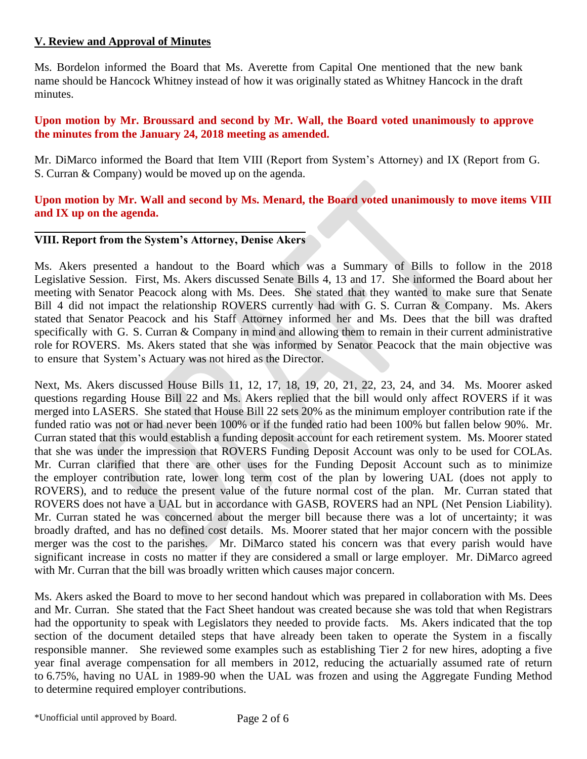# **V. Review and Approval of Minutes**

Ms. Bordelon informed the Board that Ms. Averette from Capital One mentioned that the new bank name should be Hancock Whitney instead of how it was originally stated as Whitney Hancock in the draft minutes.

# **Upon motion by Mr. Broussard and second by Mr. Wall, the Board voted unanimously to approve the minutes from the January 24, 2018 meeting as amended.**

Mr. DiMarco informed the Board that Item VIII (Report from System's Attorney) and IX (Report from G. S. Curran & Company) would be moved up on the agenda.

# **Upon motion by Mr. Wall and second by Ms. Menard, the Board voted unanimously to move items VIII and IX up on the agenda.**

# **VIII. Report from the System's Attorney, Denise Akers**

Ms. Akers presented a handout to the Board which was a Summary of Bills to follow in the 2018 Legislative Session. First, Ms. Akers discussed Senate Bills 4, 13 and 17. She informed the Board about her meeting with Senator Peacock along with Ms. Dees. She stated that they wanted to make sure that Senate Bill 4 did not impact the relationship ROVERS currently had with G. S. Curran & Company. Ms. Akers stated that Senator Peacock and his Staff Attorney informed her and Ms. Dees that the bill was drafted specifically with G. S. Curran & Company in mind and allowing them to remain in their current administrative role for ROVERS. Ms. Akers stated that she was informed by Senator Peacock that the main objective was to ensure that System's Actuary was not hired as the Director.

Next, Ms. Akers discussed House Bills 11, 12, 17, 18, 19, 20, 21, 22, 23, 24, and 34. Ms. Moorer asked questions regarding House Bill 22 and Ms. Akers replied that the bill would only affect ROVERS if it was merged into LASERS. She stated that House Bill 22 sets 20% as the minimum employer contribution rate if the funded ratio was not or had never been 100% or if the funded ratio had been 100% but fallen below 90%. Mr. Curran stated that this would establish a funding deposit account for each retirement system. Ms. Moorer stated that she was under the impression that ROVERS Funding Deposit Account was only to be used for COLAs. Mr. Curran clarified that there are other uses for the Funding Deposit Account such as to minimize the employer contribution rate, lower long term cost of the plan by lowering UAL (does not apply to ROVERS), and to reduce the present value of the future normal cost of the plan. Mr. Curran stated that ROVERS does not have a UAL but in accordance with GASB, ROVERS had an NPL (Net Pension Liability). Mr. Curran stated he was concerned about the merger bill because there was a lot of uncertainty; it was broadly drafted, and has no defined cost details. Ms. Moorer stated that her major concern with the possible merger was the cost to the parishes. Mr. DiMarco stated his concern was that every parish would have significant increase in costs no matter if they are considered a small or large employer. Mr. DiMarco agreed with Mr. Curran that the bill was broadly written which causes major concern.

Ms. Akers asked the Board to move to her second handout which was prepared in collaboration with Ms. Dees and Mr. Curran. She stated that the Fact Sheet handout was created because she was told that when Registrars had the opportunity to speak with Legislators they needed to provide facts. Ms. Akers indicated that the top section of the document detailed steps that have already been taken to operate the System in a fiscally responsible manner. She reviewed some examples such as establishing Tier 2 for new hires, adopting a five year final average compensation for all members in 2012, reducing the actuarially assumed rate of return to 6.75%, having no UAL in 1989-90 when the UAL was frozen and using the Aggregate Funding Method to determine required employer contributions.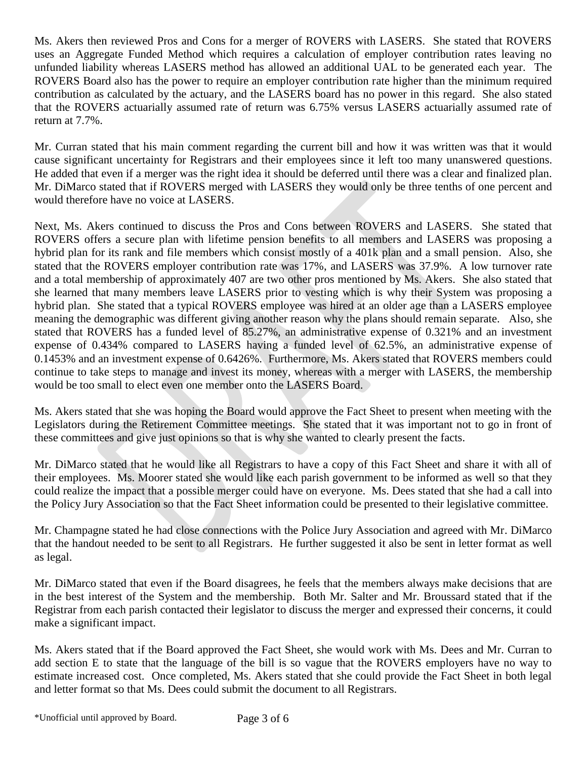Ms. Akers then reviewed Pros and Cons for a merger of ROVERS with LASERS. She stated that ROVERS uses an Aggregate Funded Method which requires a calculation of employer contribution rates leaving no unfunded liability whereas LASERS method has allowed an additional UAL to be generated each year. The ROVERS Board also has the power to require an employer contribution rate higher than the minimum required contribution as calculated by the actuary, and the LASERS board has no power in this regard. She also stated that the ROVERS actuarially assumed rate of return was 6.75% versus LASERS actuarially assumed rate of return at 7.7%.

Mr. Curran stated that his main comment regarding the current bill and how it was written was that it would cause significant uncertainty for Registrars and their employees since it left too many unanswered questions. He added that even if a merger was the right idea it should be deferred until there was a clear and finalized plan. Mr. DiMarco stated that if ROVERS merged with LASERS they would only be three tenths of one percent and would therefore have no voice at LASERS.

Next, Ms. Akers continued to discuss the Pros and Cons between ROVERS and LASERS. She stated that ROVERS offers a secure plan with lifetime pension benefits to all members and LASERS was proposing a hybrid plan for its rank and file members which consist mostly of a 401k plan and a small pension. Also, she stated that the ROVERS employer contribution rate was 17%, and LASERS was 37.9%. A low turnover rate and a total membership of approximately 407 are two other pros mentioned by Ms. Akers. She also stated that she learned that many members leave LASERS prior to vesting which is why their System was proposing a hybrid plan. She stated that a typical ROVERS employee was hired at an older age than a LASERS employee meaning the demographic was different giving another reason why the plans should remain separate. Also, she stated that ROVERS has a funded level of 85.27%, an administrative expense of 0.321% and an investment expense of 0.434% compared to LASERS having a funded level of 62.5%, an administrative expense of 0.1453% and an investment expense of 0.6426%. Furthermore, Ms. Akers stated that ROVERS members could continue to take steps to manage and invest its money, whereas with a merger with LASERS, the membership would be too small to elect even one member onto the LASERS Board.

Ms. Akers stated that she was hoping the Board would approve the Fact Sheet to present when meeting with the Legislators during the Retirement Committee meetings. She stated that it was important not to go in front of these committees and give just opinions so that is why she wanted to clearly present the facts.

Mr. DiMarco stated that he would like all Registrars to have a copy of this Fact Sheet and share it with all of their employees. Ms. Moorer stated she would like each parish government to be informed as well so that they could realize the impact that a possible merger could have on everyone. Ms. Dees stated that she had a call into the Policy Jury Association so that the Fact Sheet information could be presented to their legislative committee.

Mr. Champagne stated he had close connections with the Police Jury Association and agreed with Mr. DiMarco that the handout needed to be sent to all Registrars. He further suggested it also be sent in letter format as well as legal.

Mr. DiMarco stated that even if the Board disagrees, he feels that the members always make decisions that are in the best interest of the System and the membership. Both Mr. Salter and Mr. Broussard stated that if the Registrar from each parish contacted their legislator to discuss the merger and expressed their concerns, it could make a significant impact.

Ms. Akers stated that if the Board approved the Fact Sheet, she would work with Ms. Dees and Mr. Curran to add section E to state that the language of the bill is so vague that the ROVERS employers have no way to estimate increased cost. Once completed, Ms. Akers stated that she could provide the Fact Sheet in both legal and letter format so that Ms. Dees could submit the document to all Registrars.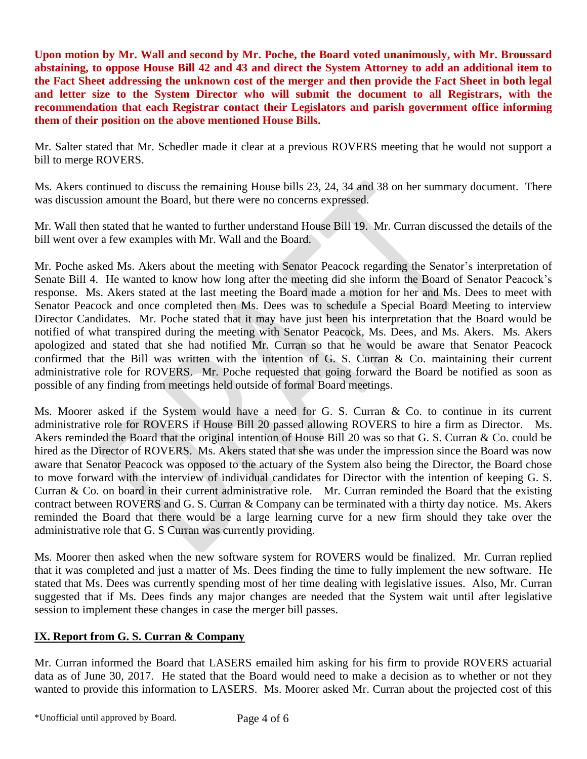**Upon motion by Mr. Wall and second by Mr. Poche, the Board voted unanimously, with Mr. Broussard abstaining, to oppose House Bill 42 and 43 and direct the System Attorney to add an additional item to the Fact Sheet addressing the unknown cost of the merger and then provide the Fact Sheet in both legal and letter size to the System Director who will submit the document to all Registrars, with the recommendation that each Registrar contact their Legislators and parish government office informing them of their position on the above mentioned House Bills.** 

Mr. Salter stated that Mr. Schedler made it clear at a previous ROVERS meeting that he would not support a bill to merge ROVERS.

Ms. Akers continued to discuss the remaining House bills 23, 24, 34 and 38 on her summary document. There was discussion amount the Board, but there were no concerns expressed.

Mr. Wall then stated that he wanted to further understand House Bill 19. Mr. Curran discussed the details of the bill went over a few examples with Mr. Wall and the Board.

Mr. Poche asked Ms. Akers about the meeting with Senator Peacock regarding the Senator's interpretation of Senate Bill 4. He wanted to know how long after the meeting did she inform the Board of Senator Peacock's response. Ms. Akers stated at the last meeting the Board made a motion for her and Ms. Dees to meet with Senator Peacock and once completed then Ms. Dees was to schedule a Special Board Meeting to interview Director Candidates. Mr. Poche stated that it may have just been his interpretation that the Board would be notified of what transpired during the meeting with Senator Peacock, Ms. Dees, and Ms. Akers. Ms. Akers apologized and stated that she had notified Mr. Curran so that he would be aware that Senator Peacock confirmed that the Bill was written with the intention of G. S. Curran & Co. maintaining their current administrative role for ROVERS. Mr. Poche requested that going forward the Board be notified as soon as possible of any finding from meetings held outside of formal Board meetings.

Ms. Moorer asked if the System would have a need for G. S. Curran & Co. to continue in its current administrative role for ROVERS if House Bill 20 passed allowing ROVERS to hire a firm as Director. Ms. Akers reminded the Board that the original intention of House Bill 20 was so that G. S. Curran & Co. could be hired as the Director of ROVERS. Ms. Akers stated that she was under the impression since the Board was now aware that Senator Peacock was opposed to the actuary of the System also being the Director, the Board chose to move forward with the interview of individual candidates for Director with the intention of keeping G. S. Curran & Co. on board in their current administrative role. Mr. Curran reminded the Board that the existing contract between ROVERS and G. S. Curran & Company can be terminated with a thirty day notice. Ms. Akers reminded the Board that there would be a large learning curve for a new firm should they take over the administrative role that G. S Curran was currently providing.

Ms. Moorer then asked when the new software system for ROVERS would be finalized. Mr. Curran replied that it was completed and just a matter of Ms. Dees finding the time to fully implement the new software. He stated that Ms. Dees was currently spending most of her time dealing with legislative issues. Also, Mr. Curran suggested that if Ms. Dees finds any major changes are needed that the System wait until after legislative session to implement these changes in case the merger bill passes.

# **IX. Report from G. S. Curran & Company**

Mr. Curran informed the Board that LASERS emailed him asking for his firm to provide ROVERS actuarial data as of June 30, 2017. He stated that the Board would need to make a decision as to whether or not they wanted to provide this information to LASERS. Ms. Moorer asked Mr. Curran about the projected cost of this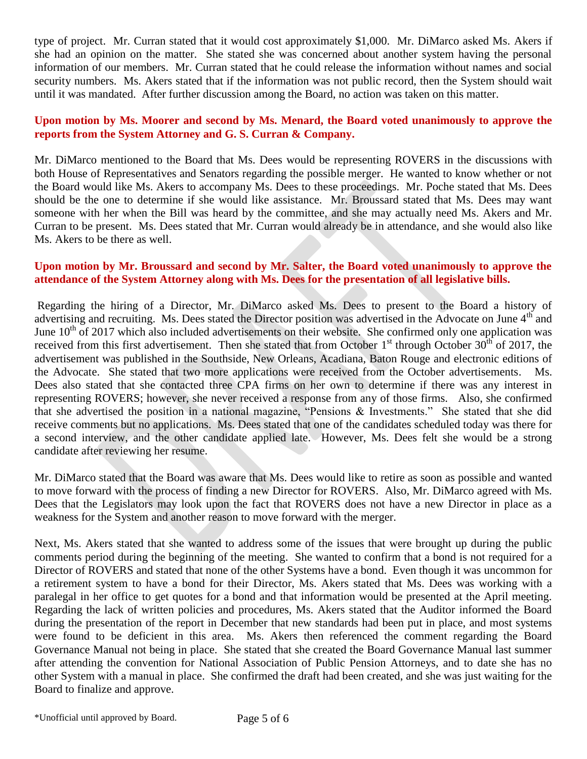type of project. Mr. Curran stated that it would cost approximately \$1,000. Mr. DiMarco asked Ms. Akers if she had an opinion on the matter. She stated she was concerned about another system having the personal information of our members. Mr. Curran stated that he could release the information without names and social security numbers. Ms. Akers stated that if the information was not public record, then the System should wait until it was mandated. After further discussion among the Board, no action was taken on this matter.

# **Upon motion by Ms. Moorer and second by Ms. Menard, the Board voted unanimously to approve the reports from the System Attorney and G. S. Curran & Company.**

Mr. DiMarco mentioned to the Board that Ms. Dees would be representing ROVERS in the discussions with both House of Representatives and Senators regarding the possible merger. He wanted to know whether or not the Board would like Ms. Akers to accompany Ms. Dees to these proceedings. Mr. Poche stated that Ms. Dees should be the one to determine if she would like assistance. Mr. Broussard stated that Ms. Dees may want someone with her when the Bill was heard by the committee, and she may actually need Ms. Akers and Mr. Curran to be present. Ms. Dees stated that Mr. Curran would already be in attendance, and she would also like Ms. Akers to be there as well.

# **Upon motion by Mr. Broussard and second by Mr. Salter, the Board voted unanimously to approve the attendance of the System Attorney along with Ms. Dees for the presentation of all legislative bills.**

Regarding the hiring of a Director, Mr. DiMarco asked Ms. Dees to present to the Board a history of advertising and recruiting. Ms. Dees stated the Director position was advertised in the Advocate on June 4<sup>th</sup> and June  $10^{th}$  of 2017 which also included advertisements on their website. She confirmed only one application was received from this first advertisement. Then she stated that from October  $1<sup>st</sup>$  through October  $30<sup>th</sup>$  of 2017, the advertisement was published in the Southside, New Orleans, Acadiana, Baton Rouge and electronic editions of the Advocate. She stated that two more applications were received from the October advertisements. Ms. Dees also stated that she contacted three CPA firms on her own to determine if there was any interest in representing ROVERS; however, she never received a response from any of those firms. Also, she confirmed that she advertised the position in a national magazine, "Pensions & Investments." She stated that she did receive comments but no applications. Ms. Dees stated that one of the candidates scheduled today was there for a second interview, and the other candidate applied late. However, Ms. Dees felt she would be a strong candidate after reviewing her resume.

Mr. DiMarco stated that the Board was aware that Ms. Dees would like to retire as soon as possible and wanted to move forward with the process of finding a new Director for ROVERS. Also, Mr. DiMarco agreed with Ms. Dees that the Legislators may look upon the fact that ROVERS does not have a new Director in place as a weakness for the System and another reason to move forward with the merger.

Next, Ms. Akers stated that she wanted to address some of the issues that were brought up during the public comments period during the beginning of the meeting. She wanted to confirm that a bond is not required for a Director of ROVERS and stated that none of the other Systems have a bond. Even though it was uncommon for a retirement system to have a bond for their Director, Ms. Akers stated that Ms. Dees was working with a paralegal in her office to get quotes for a bond and that information would be presented at the April meeting. Regarding the lack of written policies and procedures, Ms. Akers stated that the Auditor informed the Board during the presentation of the report in December that new standards had been put in place, and most systems were found to be deficient in this area. Ms. Akers then referenced the comment regarding the Board Governance Manual not being in place. She stated that she created the Board Governance Manual last summer after attending the convention for National Association of Public Pension Attorneys, and to date she has no other System with a manual in place. She confirmed the draft had been created, and she was just waiting for the Board to finalize and approve.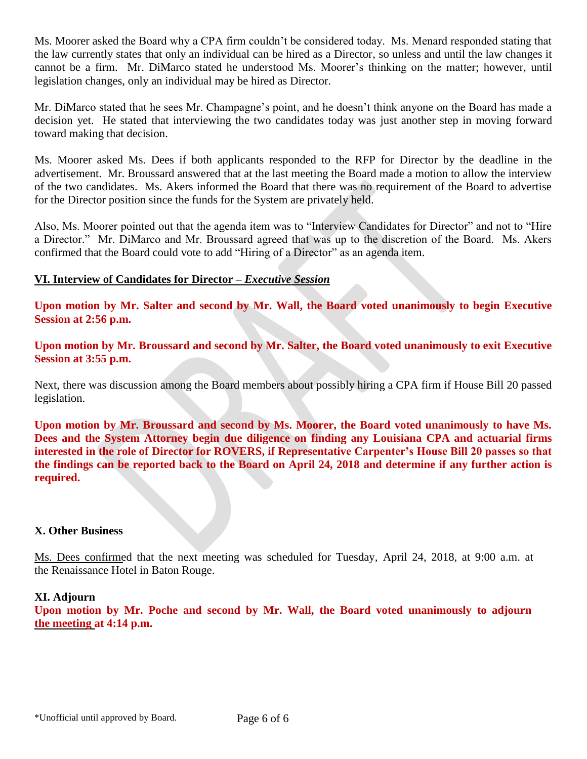Ms. Moorer asked the Board why a CPA firm couldn't be considered today. Ms. Menard responded stating that the law currently states that only an individual can be hired as a Director, so unless and until the law changes it cannot be a firm. Mr. DiMarco stated he understood Ms. Moorer's thinking on the matter; however, until legislation changes, only an individual may be hired as Director.

Mr. DiMarco stated that he sees Mr. Champagne's point, and he doesn't think anyone on the Board has made a decision yet. He stated that interviewing the two candidates today was just another step in moving forward toward making that decision.

Ms. Moorer asked Ms. Dees if both applicants responded to the RFP for Director by the deadline in the advertisement. Mr. Broussard answered that at the last meeting the Board made a motion to allow the interview of the two candidates. Ms. Akers informed the Board that there was no requirement of the Board to advertise for the Director position since the funds for the System are privately held.

Also, Ms. Moorer pointed out that the agenda item was to "Interview Candidates for Director" and not to "Hire a Director." Mr. DiMarco and Mr. Broussard agreed that was up to the discretion of the Board. Ms. Akers confirmed that the Board could vote to add "Hiring of a Director" as an agenda item.

# **VI. Interview of Candidates for Director –** *Executive Session*

**Upon motion by Mr. Salter and second by Mr. Wall, the Board voted unanimously to begin Executive Session at 2:56 p.m.** 

**Upon motion by Mr. Broussard and second by Mr. Salter, the Board voted unanimously to exit Executive Session at 3:55 p.m.** 

Next, there was discussion among the Board members about possibly hiring a CPA firm if House Bill 20 passed legislation.

**Upon motion by Mr. Broussard and second by Ms. Moorer, the Board voted unanimously to have Ms. Dees and the System Attorney begin due diligence on finding any Louisiana CPA and actuarial firms interested in the role of Director for ROVERS, if Representative Carpenter's House Bill 20 passes so that the findings can be reported back to the Board on April 24, 2018 and determine if any further action is required.** 

### **X. Other Business**

Ms. Dees confirmed that the next meeting was scheduled for Tuesday, April 24, 2018, at 9:00 a.m. at the Renaissance Hotel in Baton Rouge.

### **XI. Adjourn**

**Upon motion by Mr. Poche and second by Mr. Wall, the Board voted unanimously to adjourn the meeting at 4:14 p.m.**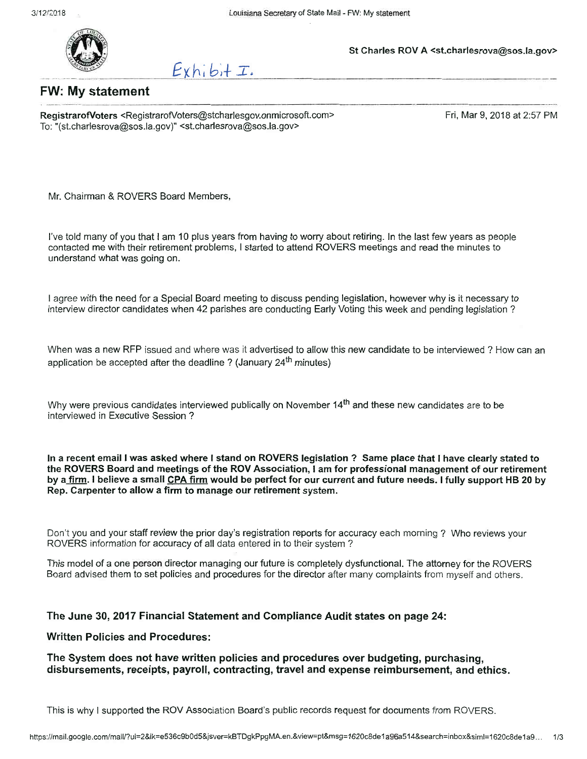

 $Exhib+I.$ 

# St Charles ROV A <st.charlesrova@sos.la.gov>

# **FW: My statement**

RegistrarofVoters <RegistrarofVoters@stcharlesgov.onmicrosoft.com> To: "(st.charlesrova@sos.la.gov)" <st.charlesrova@sos.la.gov>

Fri, Mar 9, 2018 at 2:57 PM

Mr. Chairman & ROVERS Board Members,

I've told many of you that I am 10 plus years from having to worry about retiring. In the last few years as people contacted me with their retirement problems, I started to attend ROVERS meetings and read the minutes to understand what was going on.

I agree with the need for a Special Board meeting to discuss pending legislation, however why is it necessary to interview director candidates when 42 parishes are conducting Early Voting this week and pending legislation?

When was a new RFP issued and where was it advertised to allow this new candidate to be interviewed? How can an application be accepted after the deadline? (January 24<sup>th</sup> minutes)

Why were previous candidates interviewed publically on November 14<sup>th</sup> and these new candidates are to be interviewed in Executive Session?

In a recent email I was asked where I stand on ROVERS legislation ? Same place that I have clearly stated to the ROVERS Board and meetings of the ROV Association, I am for professional management of our retirement by a firm. I believe a small CPA firm would be perfect for our current and future needs. I fully support HB 20 by Rep. Carpenter to allow a firm to manage our retirement system.

Don't you and your staff review the prior day's registration reports for accuracy each morning? Who reviews your ROVERS information for accuracy of all data entered in to their system?

This model of a one person director managing our future is completely dysfunctional. The attorney for the ROVERS Board advised them to set policies and procedures for the director after many complaints from myself and others.

#### The June 30, 2017 Financial Statement and Compliance Audit states on page 24:

#### **Written Policies and Procedures:**

The System does not have written policies and procedures over budgeting, purchasing, disbursements, receipts, payroll, contracting, travel and expense reimbursement, and ethics.

This is why I supported the ROV Association Board's public records request for documents from ROVERS.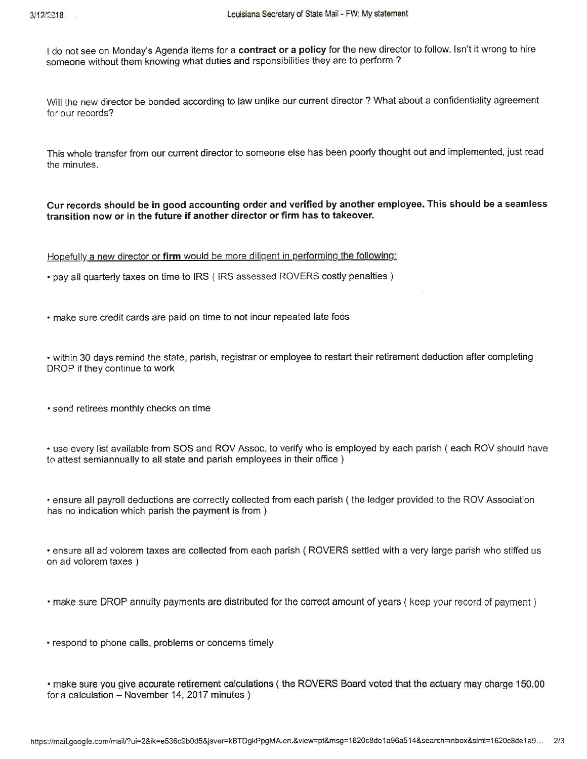$\overline{\phantom{a}}$ 

I do not see on Monday's Agenda items for a contract or a policy for the new director to follow. Isn't it wrong to hire someone without them knowing what duties and rsponsibilities they are to perform?

Will the new director be bonded according to law unlike our current director? What about a confidentiality agreement for our records?

This whole transfer from our current director to someone else has been poorly thought out and implemented, just read the minutes.

Cur records should be in good accounting order and verified by another employee. This should be a seamless transition now or in the future if another director or firm has to takeover.

Hopefully a new director or firm would be more diligent in performing the following:

• pay all quarterly taxes on time to IRS (IRS assessed ROVERS costly penalties)

• make sure credit cards are paid on time to not incur repeated late fees

• within 30 days remind the state, parish, registrar or employee to restart their retirement deduction after completing DROP if they continue to work

· send retirees monthly checks on time

• use every list available from SOS and ROV Assoc. to verify who is employed by each parish (each ROV should have to attest semiannually to all state and parish employees in their office)

• ensure all payroll deductions are correctly collected from each parish (the ledger provided to the ROV Association has no indication which parish the payment is from)

• ensure all ad volorem taxes are collected from each parish (ROVERS settled with a very large parish who stiffed us on ad volorem taxes)

• make sure DROP annuity payments are distributed for the correct amount of years (keep your record of payment)

• respond to phone calls, problems or concerns timely

• make sure you give accurate retirement calculations (the ROVERS Board voted that the actuary may charge 150.00 for a calculation - November 14, 2017 minutes)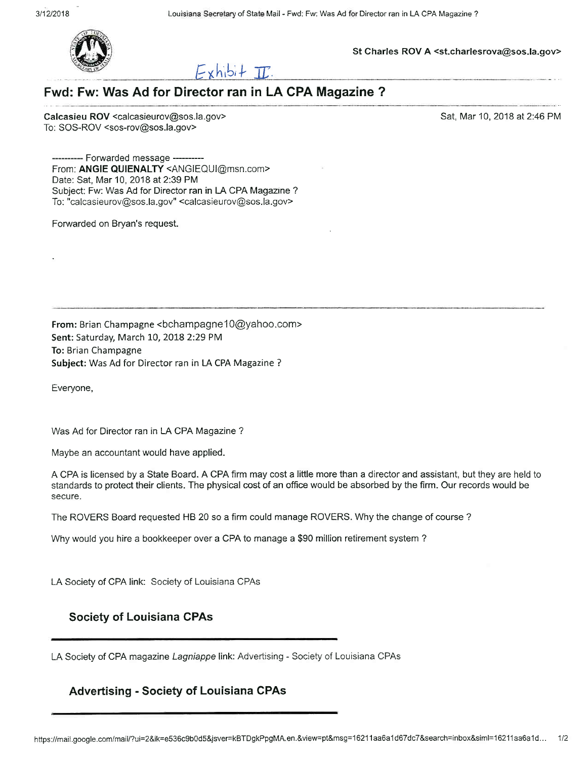

St Charles ROV A <st.charlesrova@sos.la.gov>



# Fwd: Fw: Was Ad for Director ran in LA CPA Magazine ?

Calcasieu ROV <calcasieurov@sos.la.gov> To: SOS-ROV <sos-rov@sos.la.gov>

Sat, Mar 10, 2018 at 2:46 PM

-- Forwarded message ----From: ANGIE QUIENALTY <ANGIEQUI@msn.com> Date: Sat, Mar 10, 2018 at 2:39 PM Subject: Fw: Was Ad for Director ran in LA CPA Magazine ? To: "calcasieurov@sos.la.gov" <calcasieurov@sos.la.gov>

Forwarded on Bryan's request.

From: Brian Champagne <bchampagne10@yahoo.com> Sent: Saturday, March 10, 2018 2:29 PM To: Brian Champagne Subject: Was Ad for Director ran in LA CPA Magazine ?

Everyone,

Was Ad for Director ran in LA CPA Magazine?

Maybe an accountant would have applied.

A CPA is licensed by a State Board. A CPA firm may cost a little more than a director and assistant, but they are held to standards to protect their clients. The physical cost of an office would be absorbed by the firm. Our records would be secure.

The ROVERS Board requested HB 20 so a firm could manage ROVERS. Why the change of course?

Why would you hire a bookkeeper over a CPA to manage a \$90 million retirement system?

LA Society of CPA link: Society of Louisiana CPAs

### **Society of Louisiana CPAs**

LA Society of CPA magazine Lagniappe link: Advertising - Society of Louisiana CPAs

#### **Advertising - Society of Louisiana CPAs**